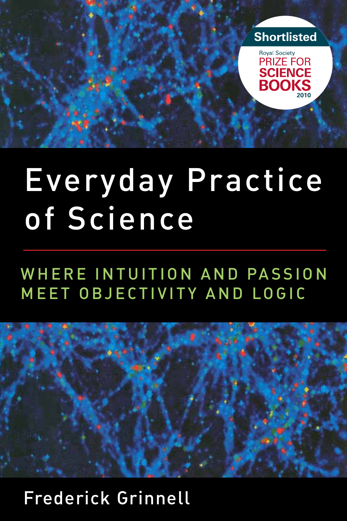

# Everyday Practice of Science

## WHERE INTUITION AND PASSION MEET OBJECTIVITY AND LOGIC



Frederick Grinnell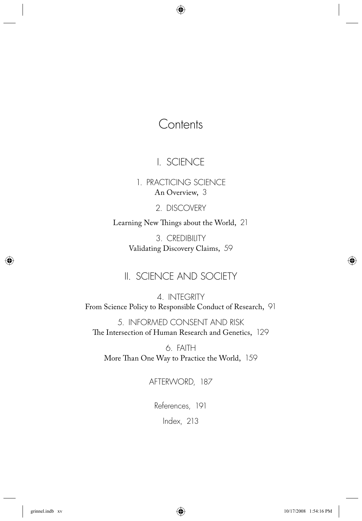## **Contents**

◈

## I. SCIENCE

1. PRACTICING SCIENCE An Overview, 3

2. DISCOVERY

Learning New Things about the World, 21

3. CREDIBILITY Validating Discovery Claims, 59

## II. SCIENCE AND SOCIETY

4. INTEGRITY From Science Policy to Responsible Conduct of Research, 91

5. INFORMED CONSENT AND RISK The Intersection of Human Research and Genetics, 129

6. FAITH More Than One Way to Practice the World, 159

AFTERWORD, 187

References, 191

Index, 213

◈

grinnel.indb xv  $10/17/2008$  1:54:16 PM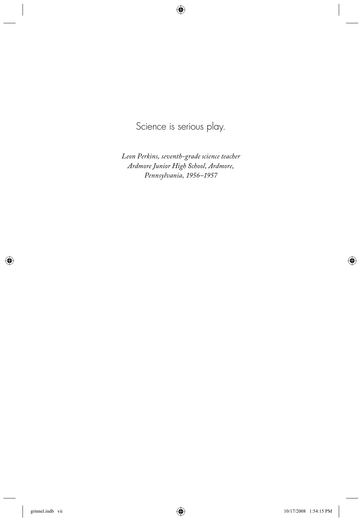

Science is serious play.

*Leon Perkins, seventh-grade science teacher Ardmore Junior High School, Ardmore, Pennsylvania, 1956–1957*

◈

 $\bigoplus$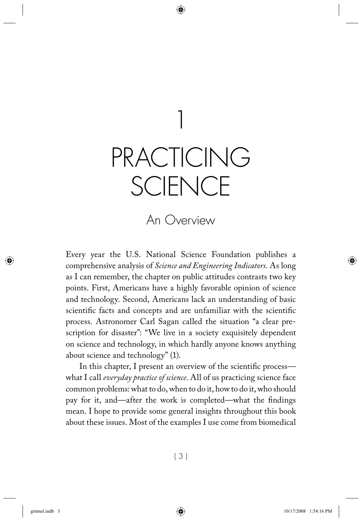⊕

An Overview

Every year the U.S. National Science Foundation publishes a comprehensive analysis of *Science and Engineering Indicators*. As long as I can remember, the chapter on public attitudes contrasts two key points. First, Americans have a highly favorable opinion of science and technology. Second, Americans lack an understanding of basic scientific facts and concepts and are unfamiliar with the scientific process. Astronomer Carl Sagan called the situation "a clear prescription for disaster": "We live in a society exquisitely dependent on science and technology, in which hardly anyone knows anything about science and technology" (1).

In this chapter, I present an overview of the scientific process what I call *everyday practice of science*. All of us practicing science face common problems: what to do, when to do it, how to do it, who should pay for it, and—after the work is completed—what the findings mean. I hope to provide some general insights throughout this book about these issues. Most of the examples I use come from biomedical

◈

 $\textcircled{\scriptsize{*}}$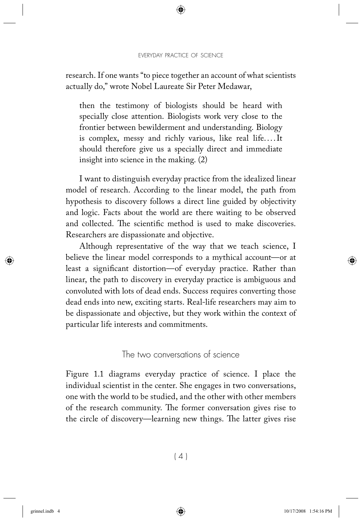research. If one wants "to piece together an account of what scientists actually do," wrote Nobel Laureate Sir Peter Medawar,

then the testimony of biologists should be heard with specially close attention. Biologists work very close to the frontier between bewilderment and understanding. Biology is complex, messy and richly various, like real life....It should therefore give us a specially direct and immediate insight into science in the making. (2)

I want to distinguish everyday practice from the idealized linear model of research. According to the linear model, the path from hypothesis to discovery follows a direct line guided by objectivity and logic. Facts about the world are there waiting to be observed and collected. The scientific method is used to make discoveries. Researchers are dispassionate and objective.

Although representative of the way that we teach science, I believe the linear model corresponds to a mythical account—or at least a significant distortion—of everyday practice. Rather than linear, the path to discovery in everyday practice is ambiguous and convoluted with lots of dead ends. Success requires converting those dead ends into new, exciting starts. Real-life researchers may aim to be dispassionate and objective, but they work within the context of particular life interests and commitments.

#### The two conversations of science

Figure 1.1 diagrams everyday practice of science. I place the individual scientist in the center. She engages in two conversations, one with the world to be studied, and the other with other members of the research community. The former conversation gives rise to the circle of discovery—learning new things. The latter gives rise ⇔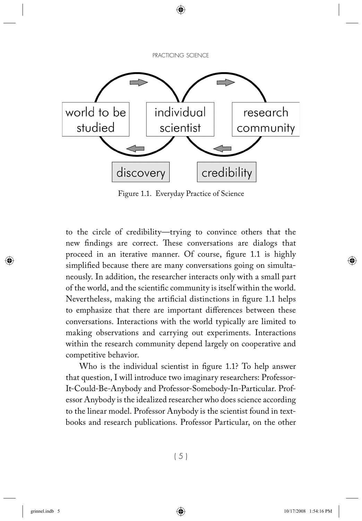

◈

Figure 1.1. Everyday Practice of Science

to the circle of credibility—trying to convince others that the new findings are correct. These conversations are dialogs that proceed in an iterative manner. Of course, figure 1.1 is highly simplified because there are many conversations going on simultaneously. In addition, the researcher interacts only with a small part of the world, and the scientific community is itself within the world. Nevertheless, making the artificial distinctions in figure 1.1 helps to emphasize that there are important differences between these conversations. Interactions with the world typically are limited to making observations and carrying out experiments. Interactions within the research community depend largely on cooperative and competitive behavior.

Who is the individual scientist in figure 1.1? To help answer that question, I will introduce two imaginary researchers: Professor-It-Could-Be-Anybody and Professor-Somebody-In-Particular. Professor Anybody is the idealized researcher who does science according to the linear model. Professor Anybody is the scientist found in textbooks and research publications. Professor Particular, on the other

◈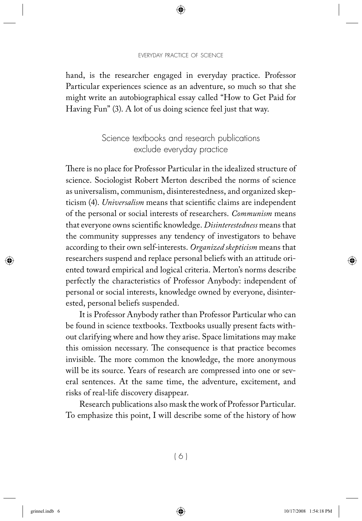⊕

hand, is the researcher engaged in everyday practice. Professor Particular experiences science as an adventure, so much so that she might write an autobiographical essay called "How to Get Paid for Having Fun" (3). A lot of us doing science feel just that way.

## Science textbooks and research publications exclude everyday practice

There is no place for Professor Particular in the idealized structure of science. Sociologist Robert Merton described the norms of science as universalism, communism, disinterestedness, and organized skepticism (4). *Universalism* means that scientific claims are independent of the personal or social interests of researchers. *Communism* means that everyone owns scientific knowledge. *Disinterestedness* means that the community suppresses any tendency of investigators to behave according to their own self-interests. *Organized skepticism* means that researchers suspend and replace personal beliefs with an attitude oriented toward empirical and logical criteria. Merton's norms describe perfectly the characteristics of Professor Anybody: independent of personal or social interests, knowledge owned by everyone, disinterested, personal beliefs suspended.

It is Professor Anybody rather than Professor Particular who can be found in science textbooks. Textbooks usually present facts without clarifying where and how they arise. Space limitations may make this omission necessary. The consequence is that practice becomes invisible. The more common the knowledge, the more anonymous will be its source. Years of research are compressed into one or several sentences. At the same time, the adventure, excitement, and risks of real-life discovery disappear.

Research publications also mask the work of Professor Particular. To emphasize this point, I will describe some of the history of how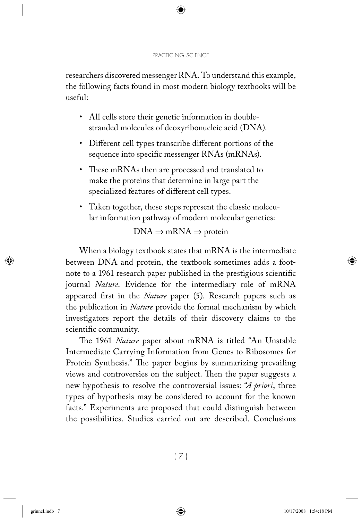⇔

researchers discovered messenger RNA. To understand this example, the following facts found in most modern biology textbooks will be useful:

- All cells store their genetic information in doublestranded molecules of deoxyribonucleic acid (DNA).
- Different cell types transcribe different portions of the sequence into specific messenger RNAs (mRNAs).
- These mRNAs then are processed and translated to make the proteins that determine in large part the specialized features of different cell types.
- Taken together, these steps represent the classic molecular information pathway of modern molecular genetics:

$$
DNA \Rightarrow mRNA \Rightarrow protein
$$

When a biology textbook states that mRNA is the intermediate between DNA and protein, the textbook sometimes adds a footnote to a 1961 research paper published in the prestigious scientific journal *Nature*. Evidence for the intermediary role of mRNA appeared first in the *Nature* paper (5). Research papers such as the publication in *Nature* provide the formal mechanism by which investigators report the details of their discovery claims to the scientific community.

The 1961 *Nature* paper about mRNA is titled "An Unstable" Intermediate Carrying Information from Genes to Ribosomes for Protein Synthesis." The paper begins by summarizing prevailing views and controversies on the subject. Then the paper suggests a new hypothesis to resolve the controversial issues: "*A priori*, three types of hypothesis may be considered to account for the known facts." Experiments are proposed that could distinguish between the possibilities. Studies carried out are described. Conclusions

( 7 )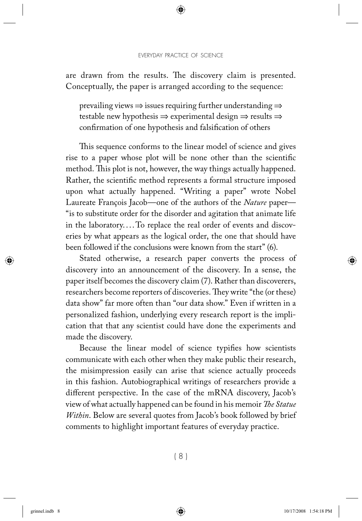are drawn from the results. The discovery claim is presented. Conceptually, the paper is arranged according to the sequence:

prevailing views ⇒ issues requiring further understanding ⇒ testable new hypothesis ⇒ experimental design ⇒ results ⇒ confirmation of one hypothesis and falsification of others

This sequence conforms to the linear model of science and gives rise to a paper whose plot will be none other than the scientific method. This plot is not, however, the way things actually happened. Rather, the scientific method represents a formal structure imposed upon what actually happened. "Writing a paper" wrote Nobel Laureate François Jacob—one of the authors of the *Nature* paper— "is to substitute order for the disorder and agitation that animate life in the laboratory....To replace the real order of events and discoveries by what appears as the logical order, the one that should have been followed if the conclusions were known from the start" (6).

Stated otherwise, a research paper converts the process of discovery into an announcement of the discovery. In a sense, the paper itself becomes the discovery claim (7). Rather than discoverers, researchers become reporters of discoveries. They write "the (or these) data show" far more often than "our data show." Even if written in a personalized fashion, underlying every research report is the implication that that any scientist could have done the experiments and made the discovery.

Because the linear model of science typifies how scientists communicate with each other when they make public their research, the misimpression easily can arise that science actually proceeds in this fashion. Autobiographical writings of researchers provide a different perspective. In the case of the mRNA discovery, Jacob's view of what actually happened can be found in his memoir *The Statue Within*. Below are several quotes from Jacob's book followed by brief comments to highlight important features of everyday practice.

( 8 )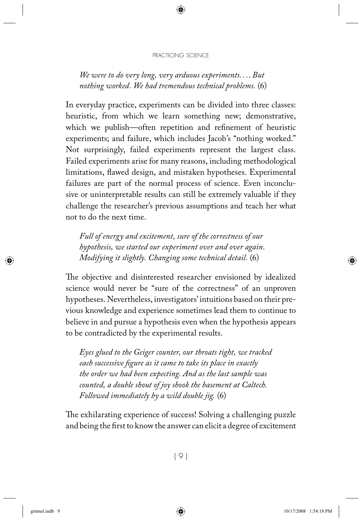*We were to do very long, very arduous experiments. . . . But nothing worked. We had tremendous technical problems.* (6)

In everyday practice, experiments can be divided into three classes: heuristic, from which we learn something new; demonstrative, which we publish—often repetition and refinement of heuristic experiments; and failure, which includes Jacob's "nothing worked." Not surprisingly, failed experiments represent the largest class. Failed experiments arise for many reasons, including methodological limitations, flawed design, and mistaken hypotheses. Experimental failures are part of the normal process of science. Even inconclusive or uninterpretable results can still be extremely valuable if they challenge the researcher's previous assumptions and teach her what not to do the next time.

*Full of energy and excitement, sure of the correctness of our hypothesis, we started our experiment over and over again. Modifying it slightly. Changing some technical detail.* (6)

The objective and disinterested researcher envisioned by idealized science would never be "sure of the correctness" of an unproven hypotheses. Nevertheless, investigators' intuitions based on their previous knowledge and experience sometimes lead them to continue to believe in and pursue a hypothesis even when the hypothesis appears to be contradicted by the experimental results.

*Eyes glued to the Geiger counter, our throats tight, we tracked each successive figure as it came to take its place in exactly the order we had been expecting. And as the last sample was counted, a double shout of joy shook the basement at Caltech. Followed immediately by a wild double jig.* (6)

The exhilarating experience of success! Solving a challenging puzzle and being the first to know the answer can elicit a degree of excitement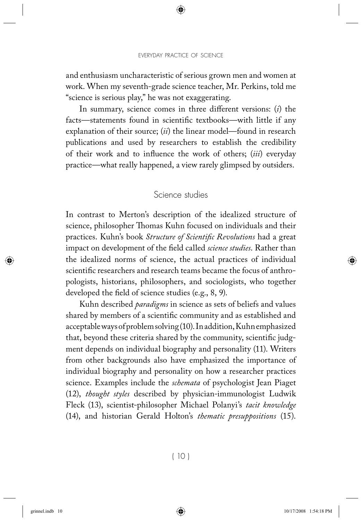⊕

and enthusiasm uncharacteristic of serious grown men and women at work. When my seventh-grade science teacher, Mr. Perkins, told me "science is serious play," he was not exaggerating.

In summary, science comes in three different versions: (*i*) the facts—statements found in scientific textbooks—with little if any explanation of their source; (*ii*) the linear model—found in research publications and used by researchers to establish the credibility of their work and to influence the work of others; (*iii*) everyday practice—what really happened, a view rarely glimpsed by outsiders.

### Science studies

In contrast to Merton's description of the idealized structure of science, philosopher Thomas Kuhn focused on individuals and their practices. Kuhn's book *Structure of Scientifi c Revolutions* had a great impact on development of the field called *science studies*. Rather than the idealized norms of science, the actual practices of individual scientific researchers and research teams became the focus of anthropologists, historians, philosophers, and sociologists, who together developed the field of science studies (e.g.,  $8, 9$ ).

Kuhn described *paradigms* in science as sets of beliefs and values shared by members of a scientific community and as established and acceptable ways of problem solving (10). In addition, Kuhn emphasized that, beyond these criteria shared by the community, scientific judgment depends on individual biography and personality (11). Writers from other backgrounds also have emphasized the importance of individual biography and personality on how a researcher practices science. Examples include the *schemata* of psychologist Jean Piaget (12), *thought styles* described by physician-immunologist Ludwik Fleck (13), scientist-philosopher Michael Polanyi's *tacit knowledge* (14), and historian Gerald Holton's *thematic presuppositions* (15).

( 10 )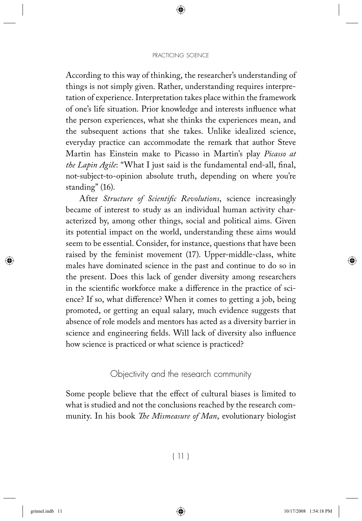◈

According to this way of thinking, the researcher's understanding of things is not simply given. Rather, understanding requires interpretation of experience. Interpretation takes place within the framework of one's life situation. Prior knowledge and interests influence what the person experiences, what she thinks the experiences mean, and the subsequent actions that she takes. Unlike idealized science, everyday practice can accommodate the remark that author Steve Martin has Einstein make to Picasso in Martin's play *Picasso at the Lapin Agile*: "What I just said is the fundamental end-all, final, not-subject-to-opinion absolute truth, depending on where you're standing" (16).

After *Structure of Scientific Revolutions*, science increasingly became of interest to study as an individual human activity characterized by, among other things, social and political aims. Given its potential impact on the world, understanding these aims would seem to be essential. Consider, for instance, questions that have been raised by the feminist movement (17). Upper-middle-class, white males have dominated science in the past and continue to do so in the present. Does this lack of gender diversity among researchers in the scientific workforce make a difference in the practice of science? If so, what difference? When it comes to getting a job, being promoted, or getting an equal salary, much evidence suggests that absence of role models and mentors has acted as a diversity barrier in science and engineering fields. Will lack of diversity also influence how science is practiced or what science is practiced?

### Objectivity and the research community

Some people believe that the effect of cultural biases is limited to what is studied and not the conclusions reached by the research community. In his book *The Mismeasure of Man*, evolutionary biologist

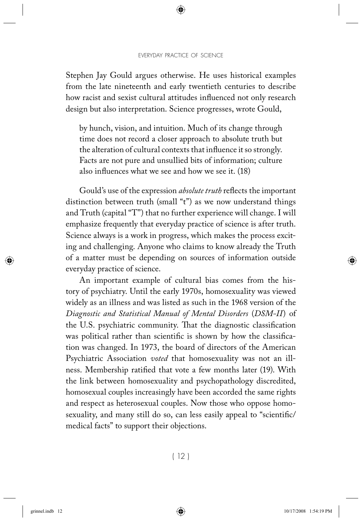⊕

Stephen Jay Gould argues otherwise. He uses historical examples from the late nineteenth and early twentieth centuries to describe how racist and sexist cultural attitudes influenced not only research design but also interpretation. Science progresses, wrote Gould,

by hunch, vision, and intuition. Much of its change through time does not record a closer approach to absolute truth but the alteration of cultural contexts that influence it so strongly. Facts are not pure and unsullied bits of information; culture also influences what we see and how we see it. (18)

Gould's use of the expression *absolute truth* reflects the important distinction between truth (small "t") as we now understand things and Truth (capital "T") that no further experience will change. I will emphasize frequently that everyday practice of science is after truth. Science always is a work in progress, which makes the process exciting and challenging. Anyone who claims to know already the Truth of a matter must be depending on sources of information outside everyday practice of science.

An important example of cultural bias comes from the history of psychiatry. Until the early 1970s, homosexuality was viewed widely as an illness and was listed as such in the 1968 version of the *Diagnostic and Statistical Manual of Mental Disorders* (DSM-II) of the U.S. psychiatric community. That the diagnostic classification was political rather than scientific is shown by how the classification was changed. In 1973, the board of directors of the American Psychiatric Association *voted* that homosexuality was not an illness. Membership ratified that vote a few months later (19). With the link between homosexuality and psychopathology discredited, homosexual couples increasingly have been accorded the same rights and respect as heterosexual couples. Now those who oppose homosexuality, and many still do so, can less easily appeal to "scientific/ medical facts" to support their objections.

( 12 )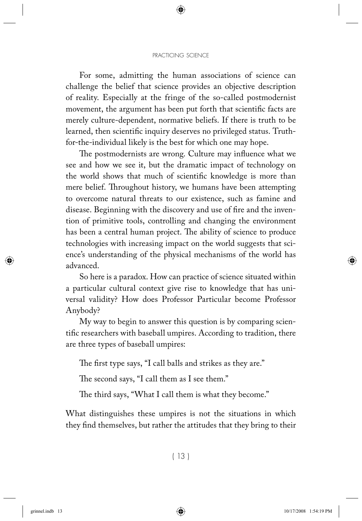❀

For some, admitting the human associations of science can challenge the belief that science provides an objective description of reality. Especially at the fringe of the so-called postmodernist movement, the argument has been put forth that scientific facts are merely culture-dependent, normative beliefs. If there is truth to be learned, then scientific inquiry deserves no privileged status. Truthfor-the-individual likely is the best for which one may hope.

The postmodernists are wrong. Culture may influence what we see and how we see it, but the dramatic impact of technology on the world shows that much of scientific knowledge is more than mere belief. Throughout history, we humans have been attempting to overcome natural threats to our existence, such as famine and disease. Beginning with the discovery and use of fire and the invention of primitive tools, controlling and changing the environment has been a central human project. The ability of science to produce technologies with increasing impact on the world suggests that science's understanding of the physical mechanisms of the world has advanced.

So here is a paradox. How can practice of science situated within a particular cultural context give rise to knowledge that has universal validity? How does Professor Particular become Professor Anybody?

My way to begin to answer this question is by comparing scientific researchers with baseball umpires. According to tradition, there are three types of baseball umpires:

The first type says, "I call balls and strikes as they are."

The second says, "I call them as I see them."

The third says, "What I call them is what they become."

What distinguishes these umpires is not the situations in which they find themselves, but rather the attitudes that they bring to their

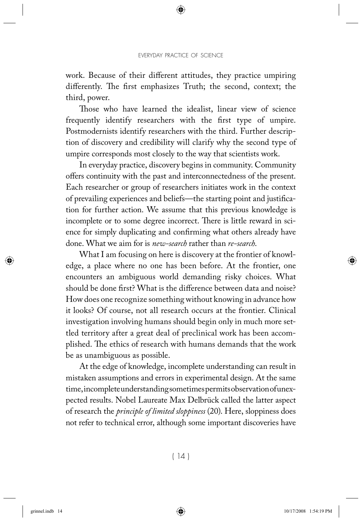⊕

work. Because of their different attitudes, they practice umpiring differently. The first emphasizes Truth; the second, context; the third, power.

Those who have learned the idealist, linear view of science frequently identify researchers with the first type of umpire. Postmodernists identify researchers with the third. Further description of discovery and credibility will clarify why the second type of umpire corresponds most closely to the way that scientists work.

In everyday practice, discovery begins in community. Community offers continuity with the past and interconnectedness of the present. Each researcher or group of researchers initiates work in the context of prevailing experiences and beliefs—the starting point and justification for further action. We assume that this previous knowledge is incomplete or to some degree incorrect. There is little reward in science for simply duplicating and confirming what others already have done. What we aim for is *new-search* rather than *re-search*.

What I am focusing on here is discovery at the frontier of knowledge, a place where no one has been before. At the frontier, one encounters an ambiguous world demanding risky choices. What should be done first? What is the difference between data and noise? How does one recognize something without knowing in advance how it looks? Of course, not all research occurs at the frontier. Clinical investigation involving humans should begin only in much more settled territory after a great deal of preclinical work has been accomplished. The ethics of research with humans demands that the work be as unambiguous as possible.

At the edge of knowledge, incomplete understanding can result in mistaken assumptions and errors in experimental design. At the same time, incomplete understanding sometimes permits observation of unexpected results. Nobel Laureate Max Delbrück called the latter aspect of research the *principle of limited sloppiness* (20). Here, sloppiness does not refer to technical error, although some important discoveries have

 $(14)$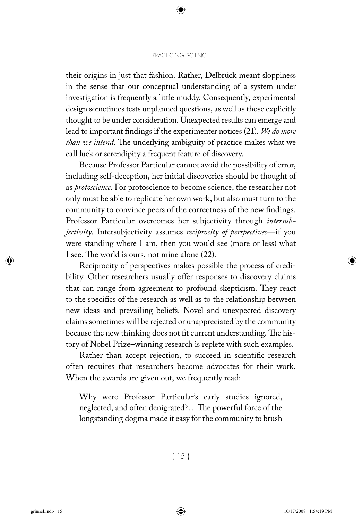⊕

their origins in just that fashion. Rather, Delbrück meant sloppiness in the sense that our conceptual understanding of a system under investigation is frequently a little muddy. Consequently, experimental design sometimes tests unplanned questions, as well as those explicitly thought to be under consideration. Unexpected results can emerge and lead to important findings if the experimenter notices (21). *We do more than we intend*. The underlying ambiguity of practice makes what we call luck or serendipity a frequent feature of discovery.

Because Professor Particular cannot avoid the possibility of error, including self-deception, her initial discoveries should be thought of as *protoscience*. For protoscience to become science, the researcher not only must be able to replicate her own work, but also must turn to the community to convince peers of the correctness of the new findings. Professor Particular overcomes her subjectivity through *intersubjectivity*. Intersubjectivity assumes *reciprocity of perspectives*—if you were standing where I am, then you would see (more or less) what I see. The world is ours, not mine alone (22).

Reciprocity of perspectives makes possible the process of credibility. Other researchers usually offer responses to discovery claims that can range from agreement to profound skepticism. They react to the specifics of the research as well as to the relationship between new ideas and prevailing beliefs. Novel and unexpected discovery claims sometimes will be rejected or unappreciated by the community because the new thinking does not fit current understanding. The history of Nobel Prize–winning research is replete with such examples.

Rather than accept rejection, to succeed in scientific research often requires that researchers become advocates for their work. When the awards are given out, we frequently read:

Why were Professor Particular's early studies ignored, neglected, and often denigrated?...The powerful force of the longstanding dogma made it easy for the community to brush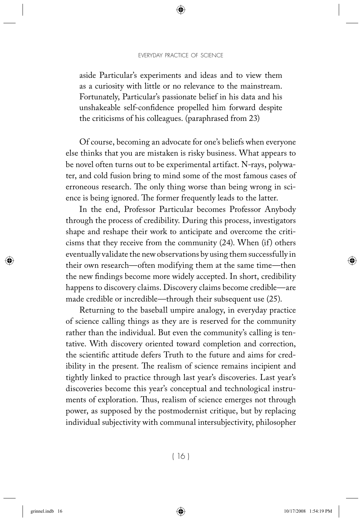⊕

aside Particular's experiments and ideas and to view them as a curiosity with little or no relevance to the mainstream. Fortunately, Particular's passionate belief in his data and his unshakeable self-confidence propelled him forward despite the criticisms of his colleagues. (paraphrased from 23)

Of course, becoming an advocate for one's beliefs when everyone else thinks that you are mistaken is risky business. What appears to be novel often turns out to be experimental artifact. N-rays, polywater, and cold fusion bring to mind some of the most famous cases of erroneous research. The only thing worse than being wrong in science is being ignored. The former frequently leads to the latter.

In the end, Professor Particular becomes Professor Anybody through the process of credibility. During this process, investigators shape and reshape their work to anticipate and overcome the criticisms that they receive from the community (24). When (if) others eventually validate the new observations by using them successfully in their own research—often modifying them at the same time—then the new findings become more widely accepted. In short, credibility happens to discovery claims. Discovery claims become credible—are made credible or incredible—through their subsequent use (25).

Returning to the baseball umpire analogy, in everyday practice of science calling things as they are is reserved for the community rather than the individual. But even the community's calling is tentative. With discovery oriented toward completion and correction, the scientific attitude defers Truth to the future and aims for credibility in the present. The realism of science remains incipient and tightly linked to practice through last year's discoveries. Last year's discoveries become this year's conceptual and technological instruments of exploration. Thus, realism of science emerges not through power, as supposed by the postmodernist critique, but by replacing individual subjectivity with communal intersubjectivity, philosopher

( 16 )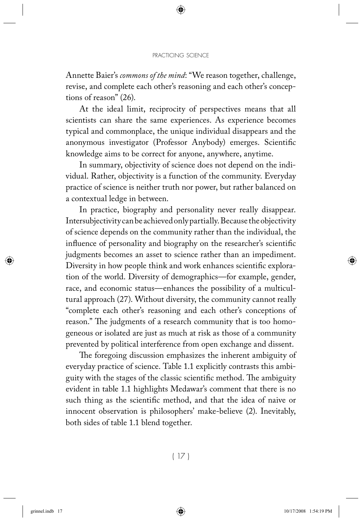⊕

Annette Baier's *commons of the mind*: "We reason together, challenge, revise, and complete each other's reasoning and each other's conceptions of reason" (26).

At the ideal limit, reciprocity of perspectives means that all scientists can share the same experiences. As experience becomes typical and commonplace, the unique individual disappears and the anonymous investigator (Professor Anybody) emerges. Scientific knowledge aims to be correct for anyone, anywhere, anytime.

In summary, objectivity of science does not depend on the individual. Rather, objectivity is a function of the community. Everyday practice of science is neither truth nor power, but rather balanced on a contextual ledge in between.

In practice, biography and personality never really disappear. Intersubjectivity can be achieved only partially. Because the objectivity of science depends on the community rather than the individual, the influence of personality and biography on the researcher's scientific judgments becomes an asset to science rather than an impediment. Diversity in how people think and work enhances scientific exploration of the world. Diversity of demographics—for example, gender, race, and economic status—enhances the possibility of a multicultural approach (27). Without diversity, the community cannot really "complete each other's reasoning and each other's conceptions of reason." The judgments of a research community that is too homogeneous or isolated are just as much at risk as those of a community prevented by political interference from open exchange and dissent.

The foregoing discussion emphasizes the inherent ambiguity of everyday practice of science. Table 1.1 explicitly contrasts this ambiguity with the stages of the classic scientific method. The ambiguity evident in table 1.1 highlights Medawar's comment that there is no such thing as the scientific method, and that the idea of naive or innocent observation is philosophers' make-believe (2). Inevitably, both sides of table 1.1 blend together.

( 17 )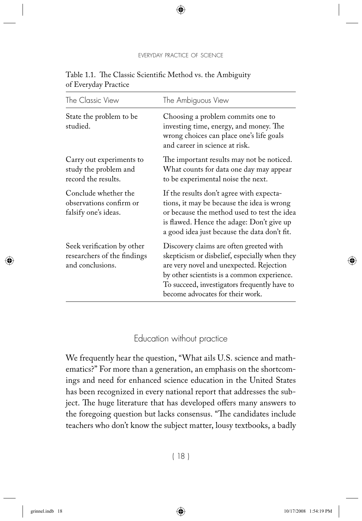❀

| The Classic View                                                              | The Ambiguous View                                                                                                                                                                                                                                                      |
|-------------------------------------------------------------------------------|-------------------------------------------------------------------------------------------------------------------------------------------------------------------------------------------------------------------------------------------------------------------------|
| State the problem to be<br>studied.                                           | Choosing a problem commits one to<br>investing time, energy, and money. The<br>wrong choices can place one's life goals<br>and career in science at risk.                                                                                                               |
| Carry out experiments to<br>study the problem and<br>record the results.      | The important results may not be noticed.<br>What counts for data one day may appear<br>to be experimental noise the next.                                                                                                                                              |
| Conclude whether the<br>observations confirm or<br>falsify one's ideas.       | If the results don't agree with expecta-<br>tions, it may be because the idea is wrong<br>or because the method used to test the idea<br>is flawed. Hence the adage: Don't give up<br>a good idea just because the data don't fit.                                      |
| Seek verification by other<br>researchers of the findings<br>and conclusions. | Discovery claims are often greeted with<br>skepticism or disbelief, especially when they<br>are very novel and unexpected. Rejection<br>by other scientists is a common experience.<br>To succeed, investigators frequently have to<br>become advocates for their work. |

#### Table 1.1. The Classic Scientific Method vs. the Ambiguity of Everyday Practice

## Education without practice

We frequently hear the question, "What ails U.S. science and mathematics?" For more than a generation, an emphasis on the shortcomings and need for enhanced science education in the United States has been recognized in every national report that addresses the subject. The huge literature that has developed offers many answers to the foregoing question but lacks consensus. "The candidates include teachers who don't know the subject matter, lousy textbooks, a badly

◈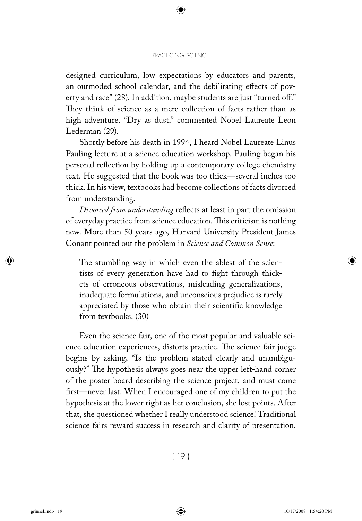designed curriculum, low expectations by educators and parents, an outmoded school calendar, and the debilitating effects of poverty and race" (28). In addition, maybe students are just "turned off." They think of science as a mere collection of facts rather than as high adventure. "Dry as dust," commented Nobel Laureate Leon Lederman (29).

Shortly before his death in 1994, I heard Nobel Laureate Linus Pauling lecture at a science education workshop. Pauling began his personal reflection by holding up a contemporary college chemistry text. He suggested that the book was too thick—several inches too thick. In his view, textbooks had become collections of facts divorced from understanding.

*Divorced from understanding* reflects at least in part the omission of everyday practice from science education. This criticism is nothing new. More than 50 years ago, Harvard University President James Conant pointed out the problem in *Science and Common Sense*:

The stumbling way in which even the ablest of the scientists of every generation have had to fight through thickets of erroneous observations, misleading generalizations, inadequate formulations, and unconscious prejudice is rarely appreciated by those who obtain their scientific knowledge from textbooks. (30)

Even the science fair, one of the most popular and valuable science education experiences, distorts practice. The science fair judge begins by asking, "Is the problem stated clearly and unambiguously?" The hypothesis always goes near the upper left-hand corner of the poster board describing the science project, and must come first—never last. When I encouraged one of my children to put the hypothesis at the lower right as her conclusion, she lost points. After that, she questioned whether I really understood science! Traditional science fairs reward success in research and clarity of presentation.

( 19 )